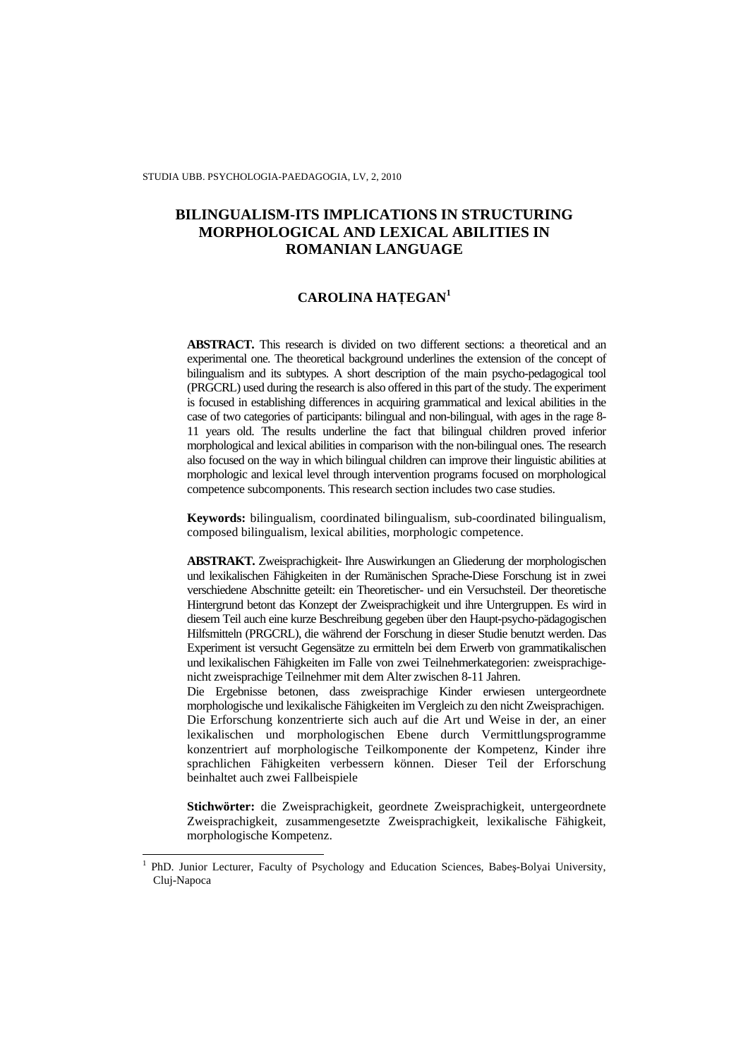STUDIA UBB. PSYCHOLOGIA-PAEDAGOGIA, LV, 2, 2010

# **BILINGUALISM-ITS IMPLICATIONS IN STRUCTURING MORPHOLOGICAL AND LEXICAL ABILITIES IN ROMANIAN LANGUAGE**

# **CAROLINA HA**ł**EGAN<sup>1</sup>**

**ABSTRACT.** This research is divided on two different sections: a theoretical and an experimental one. The theoretical background underlines the extension of the concept of bilingualism and its subtypes. A short description of the main psycho-pedagogical tool (PRGCRL) used during the research is also offered in this part of the study. The experiment is focused in establishing differences in acquiring grammatical and lexical abilities in the case of two categories of participants: bilingual and non-bilingual, with ages in the rage 8- 11 years old. The results underline the fact that bilingual children proved inferior morphological and lexical abilities in comparison with the non-bilingual ones. The research also focused on the way in which bilingual children can improve their linguistic abilities at morphologic and lexical level through intervention programs focused on morphological competence subcomponents. This research section includes two case studies.

**Keywords:** bilingualism, coordinated bilingualism, sub-coordinated bilingualism, composed bilingualism, lexical abilities, morphologic competence.

**ABSTRAKT.** Zweisprachigkeit- Ihre Auswirkungen an Gliederung der morphologischen und lexikalischen Fähigkeiten in der Rumänischen Sprache**-**Diese Forschung ist in zwei verschiedene Abschnitte geteilt: ein Theoretischer- und ein Versuchsteil. Der theoretische Hintergrund betont das Konzept der Zweisprachigkeit und ihre Untergruppen. Es wird in diesem Teil auch eine kurze Beschreibung gegeben über den Haupt-psycho-pädagogischen Hilfsmitteln (PRGCRL), die während der Forschung in dieser Studie benutzt werden. Das Experiment ist versucht Gegensätze zu ermitteln bei dem Erwerb von grammatikalischen und lexikalischen Fähigkeiten im Falle von zwei Teilnehmerkategorien: zweisprachigenicht zweisprachige Teilnehmer mit dem Alter zwischen 8-11 Jahren.

Die Ergebnisse betonen, dass zweisprachige Kinder erwiesen untergeordnete morphologische und lexikalische Fähigkeiten im Vergleich zu den nicht Zweisprachigen. Die Erforschung konzentrierte sich auch auf die Art und Weise in der, an einer lexikalischen und morphologischen Ebene durch Vermittlungsprogramme konzentriert auf morphologische Teilkomponente der Kompetenz, Kinder ihre sprachlichen Fähigkeiten verbessern können. Dieser Teil der Erforschung beinhaltet auch zwei Fallbeispiele

**Stichwörter:** die Zweisprachigkeit, geordnete Zweisprachigkeit, untergeordnete Zweisprachigkeit, zusammengesetzte Zweisprachigkeit, lexikalische Fähigkeit, morphologische Kompetenz.

 $\overline{a}$ 

<sup>1</sup> PhD. Junior Lecturer, Faculty of Psychology and Education Sciences, Babeş-Bolyai University, Cluj-Napoca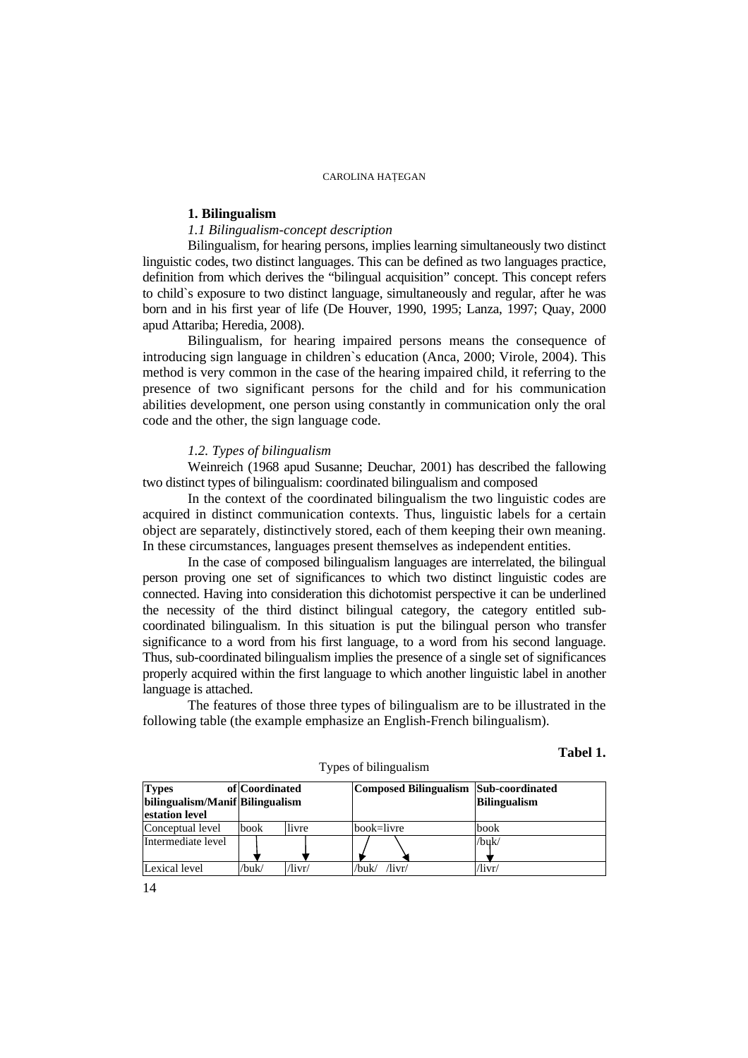# **1. Bilingualism**

## *1.1 Bilingualism-concept description*

Bilingualism, for hearing persons, implies learning simultaneously two distinct linguistic codes, two distinct languages. This can be defined as two languages practice, definition from which derives the "bilingual acquisition" concept. This concept refers to child`s exposure to two distinct language, simultaneously and regular, after he was born and in his first year of life (De Houver, 1990, 1995; Lanza, 1997; Quay, 2000 apud Attariba; Heredia, 2008).

Bilingualism, for hearing impaired persons means the consequence of introducing sign language in children`s education (Anca, 2000; Virole, 2004). This method is very common in the case of the hearing impaired child, it referring to the presence of two significant persons for the child and for his communication abilities development, one person using constantly in communication only the oral code and the other, the sign language code.

#### *1.2. Types of bilingualism*

Weinreich (1968 apud Susanne; Deuchar, 2001) has described the fallowing two distinct types of bilingualism: coordinated bilingualism and composed

In the context of the coordinated bilingualism the two linguistic codes are acquired in distinct communication contexts. Thus, linguistic labels for a certain object are separately, distinctively stored, each of them keeping their own meaning. In these circumstances, languages present themselves as independent entities.

In the case of composed bilingualism languages are interrelated, the bilingual person proving one set of significances to which two distinct linguistic codes are connected. Having into consideration this dichotomist perspective it can be underlined the necessity of the third distinct bilingual category, the category entitled subcoordinated bilingualism. In this situation is put the bilingual person who transfer significance to a word from his first language, to a word from his second language. Thus, sub-coordinated bilingualism implies the presence of a single set of significances properly acquired within the first language to which another linguistic label in another language is attached.

The features of those three types of bilingualism are to be illustrated in the following table (the example emphasize an English-French bilingualism).

Types of bilingualism

# **Tabel 1.**

| <b>Types</b><br>bilingualism/Manif Bilingualism<br>estation level | of Coordinated |        | Composed Bilingualism Sub-coordinated | <b>Bilingualism</b> |
|-------------------------------------------------------------------|----------------|--------|---------------------------------------|---------------------|
| Conceptual level                                                  | book           | livre  | book=livre                            | book                |
| Intermediate level                                                |                |        |                                       | /buk/               |
| Lexical level                                                     | /buk/          | /livr/ | /livr/<br>/buk/                       | /livr/              |

14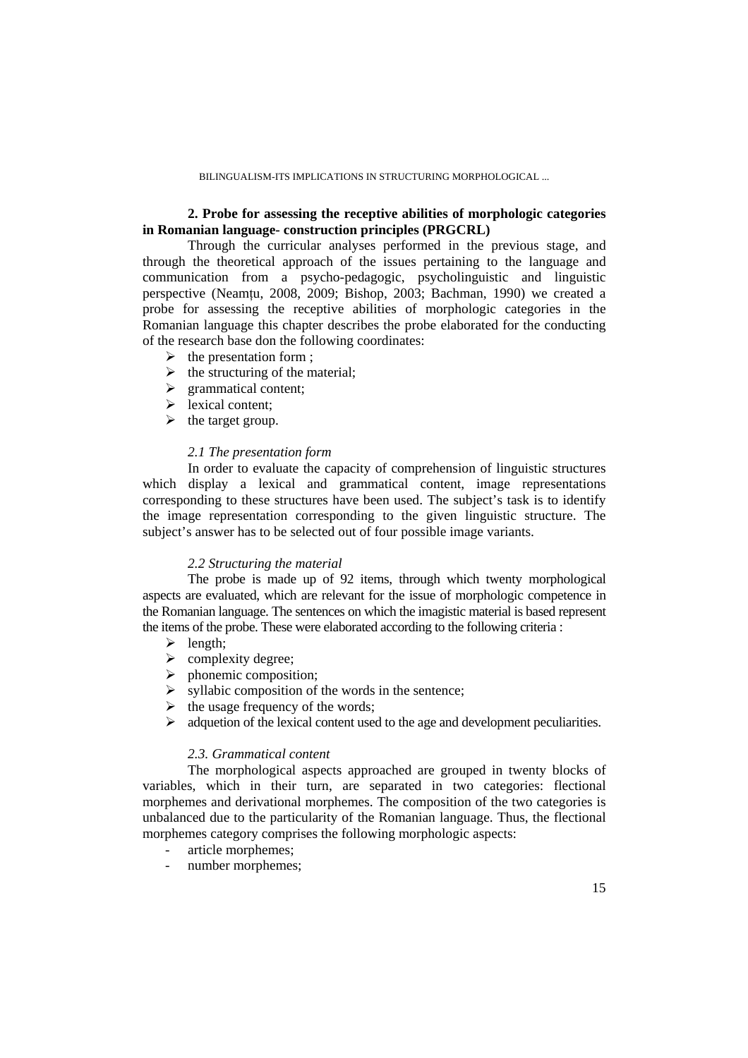# **2. Probe for assessing the receptive abilities of morphologic categories in Romanian language- construction principles (PRGCRL)**

Through the curricular analyses performed in the previous stage, and through the theoretical approach of the issues pertaining to the language and communication from a psycho-pedagogic, psycholinguistic and linguistic perspective (Neamțu, 2008, 2009; Bishop, 2003; Bachman, 1990) we created a probe for assessing the receptive abilities of morphologic categories in the Romanian language this chapter describes the probe elaborated for the conducting of the research base don the following coordinates:

- $\triangleright$  the presentation form ;
- $\triangleright$  the structuring of the material;
- > grammatical content;
- $\triangleright$  lexical content:
- $\blacktriangleright$  the target group.

## *2.1 The presentation form*

In order to evaluate the capacity of comprehension of linguistic structures which display a lexical and grammatical content, image representations corresponding to these structures have been used. The subject's task is to identify the image representation corresponding to the given linguistic structure. The subject's answer has to be selected out of four possible image variants.

## *2.2 Structuring the material*

The probe is made up of 92 items, through which twenty morphological aspects are evaluated, which are relevant for the issue of morphologic competence in the Romanian language. The sentences on which the imagistic material is based represent the items of the probe. These were elaborated according to the following criteria :

- $\triangleright$  length;
- $\triangleright$  complexity degree;
- $\triangleright$  phonemic composition;
- $\triangleright$  syllabic composition of the words in the sentence;
- $\triangleright$  the usage frequency of the words;
- $\triangleright$  adquetion of the lexical content used to the age and development peculiarities.

## *2.3. Grammatical content*

The morphological aspects approached are grouped in twenty blocks of variables, which in their turn, are separated in two categories: flectional morphemes and derivational morphemes. The composition of the two categories is unbalanced due to the particularity of the Romanian language. Thus, the flectional morphemes category comprises the following morphologic aspects:

- article morphemes;
- number morphemes;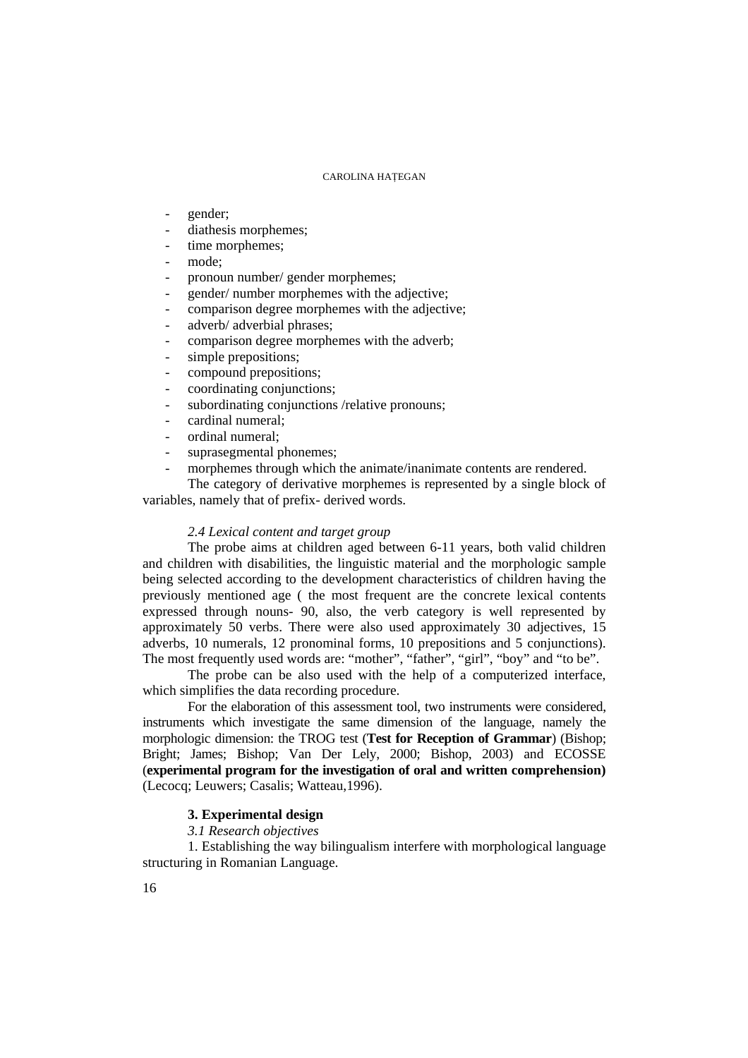- gender;
- diathesis morphemes;
- time morphemes;
- mode:
- pronoun number/ gender morphemes;
- gender/ number morphemes with the adjective;
- comparison degree morphemes with the adjective;
- adverb/ adverbial phrases;
- comparison degree morphemes with the adverb;
- simple prepositions;
- compound prepositions;
- coordinating conjunctions;
- subordinating conjunctions /relative pronouns;
- cardinal numeral:
- ordinal numeral:
- suprasegmental phonemes;
- morphemes through which the animate/inanimate contents are rendered.

The category of derivative morphemes is represented by a single block of variables, namely that of prefix- derived words.

## *2.4 Lexical content and target group*

The probe aims at children aged between 6-11 years, both valid children and children with disabilities, the linguistic material and the morphologic sample being selected according to the development characteristics of children having the previously mentioned age ( the most frequent are the concrete lexical contents expressed through nouns- 90, also, the verb category is well represented by approximately 50 verbs. There were also used approximately 30 adjectives, 15 adverbs, 10 numerals, 12 pronominal forms, 10 prepositions and 5 conjunctions). The most frequently used words are: "mother", "father", "girl", "boy" and "to be".

The probe can be also used with the help of a computerized interface, which simplifies the data recording procedure.

For the elaboration of this assessment tool, two instruments were considered, instruments which investigate the same dimension of the language, namely the morphologic dimension: the TROG test (**Test for Reception of Grammar**) (Bishop; Bright; James; Bishop; Van Der Lely, 2000; Bishop, 2003) and ECOSSE (**experimental program for the investigation of oral and written comprehension)**  (Lecocq; Leuwers; Casalis; Watteau,1996).

## **3. Experimental design**

*3.1 Research objectives* 

1. Establishing the way bilingualism interfere with morphological language structuring in Romanian Language.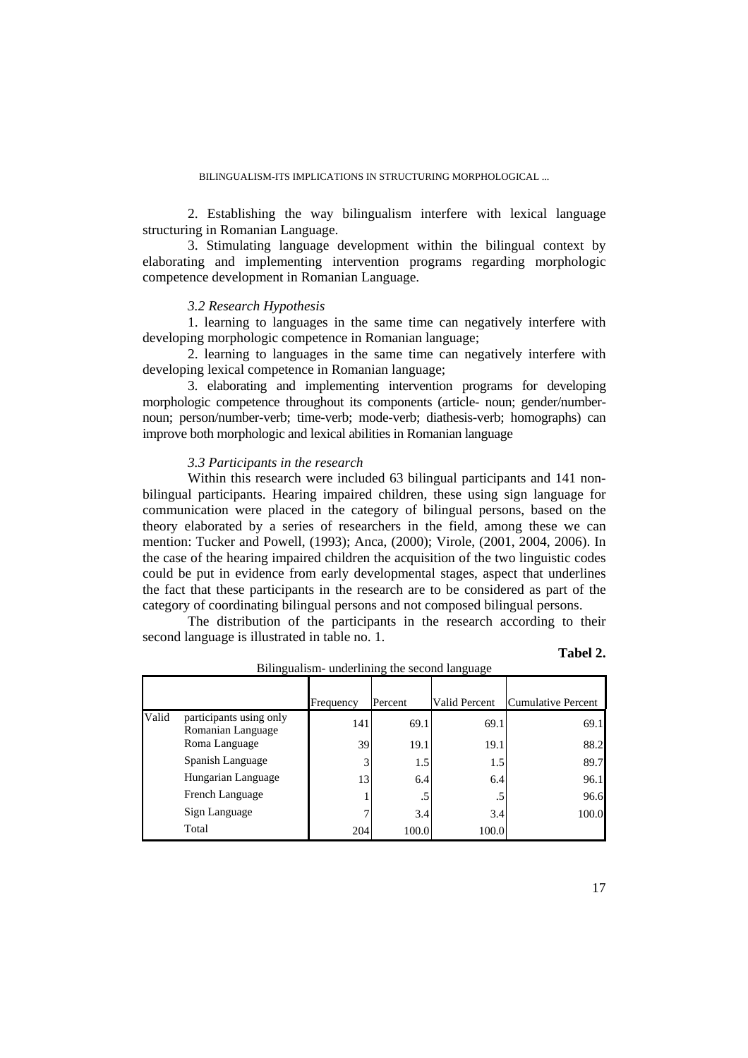2. Establishing the way bilingualism interfere with lexical language structuring in Romanian Language.

3. Stimulating language development within the bilingual context by elaborating and implementing intervention programs regarding morphologic competence development in Romanian Language.

#### *3.2 Research Hypothesis*

1. learning to languages in the same time can negatively interfere with developing morphologic competence in Romanian language;

2. learning to languages in the same time can negatively interfere with developing lexical competence in Romanian language;

3. elaborating and implementing intervention programs for developing morphologic competence throughout its components (article- noun; gender/numbernoun; person/number-verb; time-verb; mode-verb; diathesis-verb; homographs) can improve both morphologic and lexical abilities in Romanian language

## *3.3 Participants in the research*

Within this research were included 63 bilingual participants and 141 nonbilingual participants. Hearing impaired children, these using sign language for communication were placed in the category of bilingual persons, based on the theory elaborated by a series of researchers in the field, among these we can mention: Tucker and Powell, (1993); Anca, (2000); Virole, (2001, 2004, 2006). In the case of the hearing impaired children the acquisition of the two linguistic codes could be put in evidence from early developmental stages, aspect that underlines the fact that these participants in the research are to be considered as part of the category of coordinating bilingual persons and not composed bilingual persons.

The distribution of the participants in the research according to their second language is illustrated in table no. 1.

# **Tabel 2.**

|       |                                              | Frequency | Percent | Valid Percent | Cumulative Percent |
|-------|----------------------------------------------|-----------|---------|---------------|--------------------|
| Valid | participants using only<br>Romanian Language | 141       | 69.1    | 69.1          | 69.1               |
|       | Roma Language                                | 39        | 19.1    | 19.1          | 88.2               |
|       | Spanish Language                             | 3         | 1.5     | 1.5           | 89.7               |
|       | Hungarian Language                           | 13        | 6.4     | 6.4           | 96.1               |
|       | French Language                              |           | .5      | .5            | 96.6               |
|       | Sign Language                                | 7         | 3.4     | 3.4           | 100.0              |
|       | Total                                        | 204       | 100.0   | 100.0         |                    |

Bilingualism- underlining the second language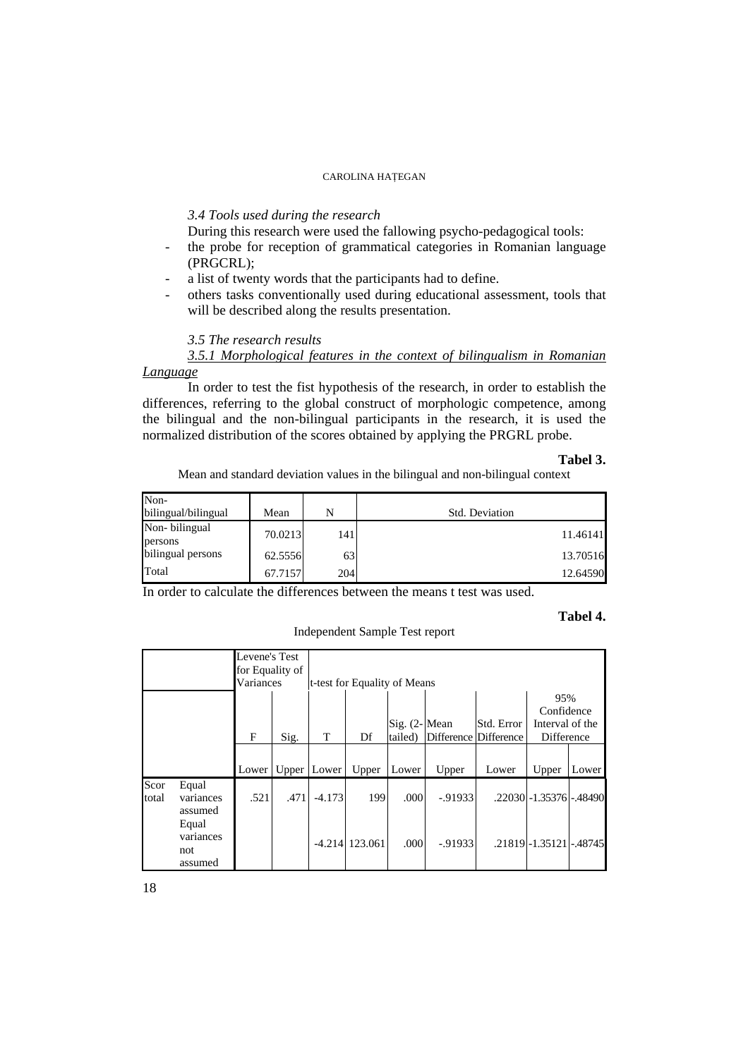## *3.4 Tools used during the research*

During this research were used the fallowing psycho-pedagogical tools:

- the probe for reception of grammatical categories in Romanian language (PRGCRL);
- a list of twenty words that the participants had to define.
- others tasks conventionally used during educational assessment, tools that will be described along the results presentation.

*3.5 The research results* 

*3.5.1 Morphological features in the context of bilingualism in Romanian Language* 

In order to test the fist hypothesis of the research, in order to establish the differences, referring to the global construct of morphologic competence, among the bilingual and the non-bilingual participants in the research, it is used the normalized distribution of the scores obtained by applying the PRGRL probe.

#### **Tabel 3.**

Mean and standard deviation values in the bilingual and non-bilingual context

| Non-<br>bilingual/bilingual | Mean    | N   | Std. Deviation |
|-----------------------------|---------|-----|----------------|
| Non-bilingual<br>persons    | 70.0213 | 141 | 11.46141       |
| bilingual persons           | 62.5556 | 63  | 13.70516       |
| Total                       | 67.7157 | 204 | 12.64590       |

Independent Sample Test report

In order to calculate the differences between the means t test was used.

## **Tabel 4.**

|       |           | Levene's Test   |      |               |                              |                                  |            |                       |                           |       |
|-------|-----------|-----------------|------|---------------|------------------------------|----------------------------------|------------|-----------------------|---------------------------|-------|
|       |           | for Equality of |      |               |                              |                                  |            |                       |                           |       |
|       |           | Variances       |      |               | t-test for Equality of Means |                                  |            |                       |                           |       |
|       |           |                 |      |               |                              |                                  |            |                       | 95%                       |       |
|       |           |                 |      |               |                              |                                  |            |                       | Confidence                |       |
|       |           |                 |      |               |                              | $\text{Sig. } (2 - \text{Mean})$ |            | Std. Error            | Interval of the           |       |
|       |           | $\mathbf{F}$    | Sig. | T             | Df                           | tailed)                          |            | Difference Difference | Difference                |       |
|       |           |                 |      |               |                              |                                  |            |                       |                           |       |
|       |           | Lower           |      | Upper   Lower | Upper                        | Lower                            | Upper      | Lower                 | Upper                     | Lower |
| Scor  | Equal     |                 |      |               |                              |                                  |            |                       |                           |       |
| total | variances | .521            | .471 | $-4.173$      | 199                          | .000                             | $-0.91933$ |                       | .22030 - 1.35376 - 48490  |       |
|       | assumed   |                 |      |               |                              |                                  |            |                       |                           |       |
|       | Equal     |                 |      |               |                              |                                  |            |                       |                           |       |
|       | variances |                 |      |               | $-4.214$ 123.061             | .000                             | $-0.91933$ |                       | .21819 - 1.35121 - .48745 |       |
|       | not       |                 |      |               |                              |                                  |            |                       |                           |       |
|       | assumed   |                 |      |               |                              |                                  |            |                       |                           |       |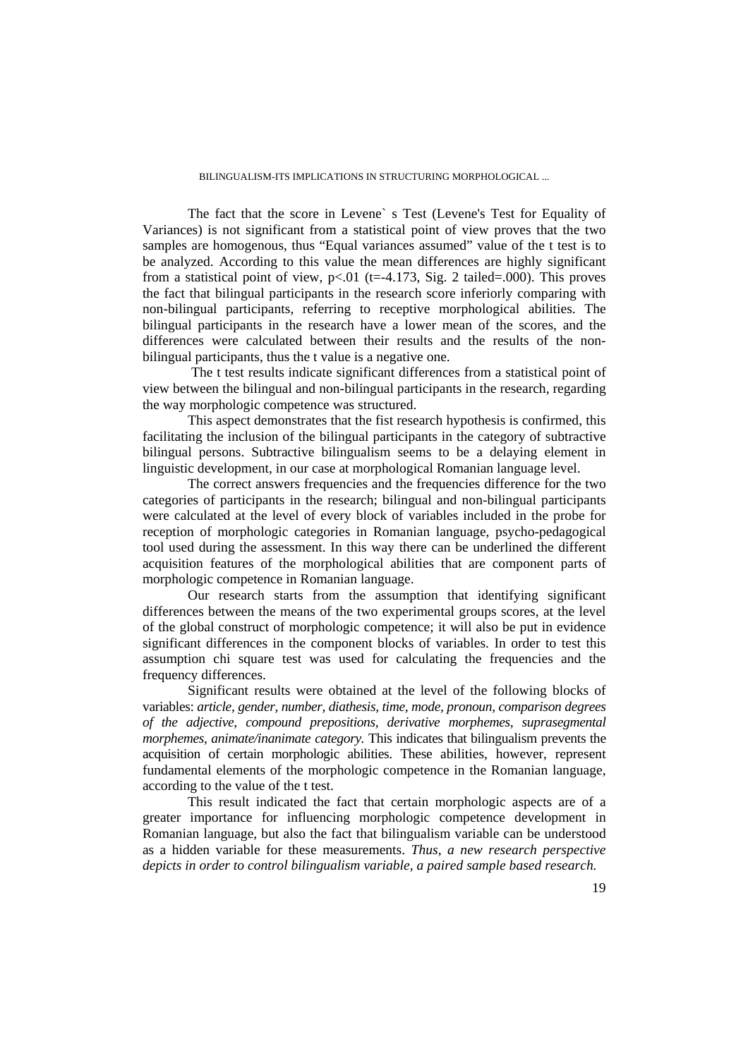The fact that the score in Levene` s Test (Levene's Test for Equality of Variances) is not significant from a statistical point of view proves that the two samples are homogenous, thus "Equal variances assumed" value of the t test is to be analyzed. According to this value the mean differences are highly significant from a statistical point of view,  $p<01$  (t=-4.173, Sig. 2 tailed=.000). This proves the fact that bilingual participants in the research score inferiorly comparing with non-bilingual participants, referring to receptive morphological abilities. The bilingual participants in the research have a lower mean of the scores, and the differences were calculated between their results and the results of the nonbilingual participants, thus the t value is a negative one.

 The t test results indicate significant differences from a statistical point of view between the bilingual and non-bilingual participants in the research, regarding the way morphologic competence was structured.

This aspect demonstrates that the fist research hypothesis is confirmed, this facilitating the inclusion of the bilingual participants in the category of subtractive bilingual persons. Subtractive bilingualism seems to be a delaying element in linguistic development, in our case at morphological Romanian language level.

The correct answers frequencies and the frequencies difference for the two categories of participants in the research; bilingual and non-bilingual participants were calculated at the level of every block of variables included in the probe for reception of morphologic categories in Romanian language, psycho-pedagogical tool used during the assessment. In this way there can be underlined the different acquisition features of the morphological abilities that are component parts of morphologic competence in Romanian language.

Our research starts from the assumption that identifying significant differences between the means of the two experimental groups scores, at the level of the global construct of morphologic competence; it will also be put in evidence significant differences in the component blocks of variables. In order to test this assumption chi square test was used for calculating the frequencies and the frequency differences.

Significant results were obtained at the level of the following blocks of variables: *article, gender, number, diathesis, time, mode, pronoun, comparison degrees of the adjective, compound prepositions, derivative morphemes, suprasegmental morphemes, animate/inanimate category.* This indicates that bilingualism prevents the acquisition of certain morphologic abilities. These abilities, however, represent fundamental elements of the morphologic competence in the Romanian language, according to the value of the t test.

This result indicated the fact that certain morphologic aspects are of a greater importance for influencing morphologic competence development in Romanian language, but also the fact that bilingualism variable can be understood as a hidden variable for these measurements. *Thus, a new research perspective depicts in order to control bilingualism variable, a paired sample based research.*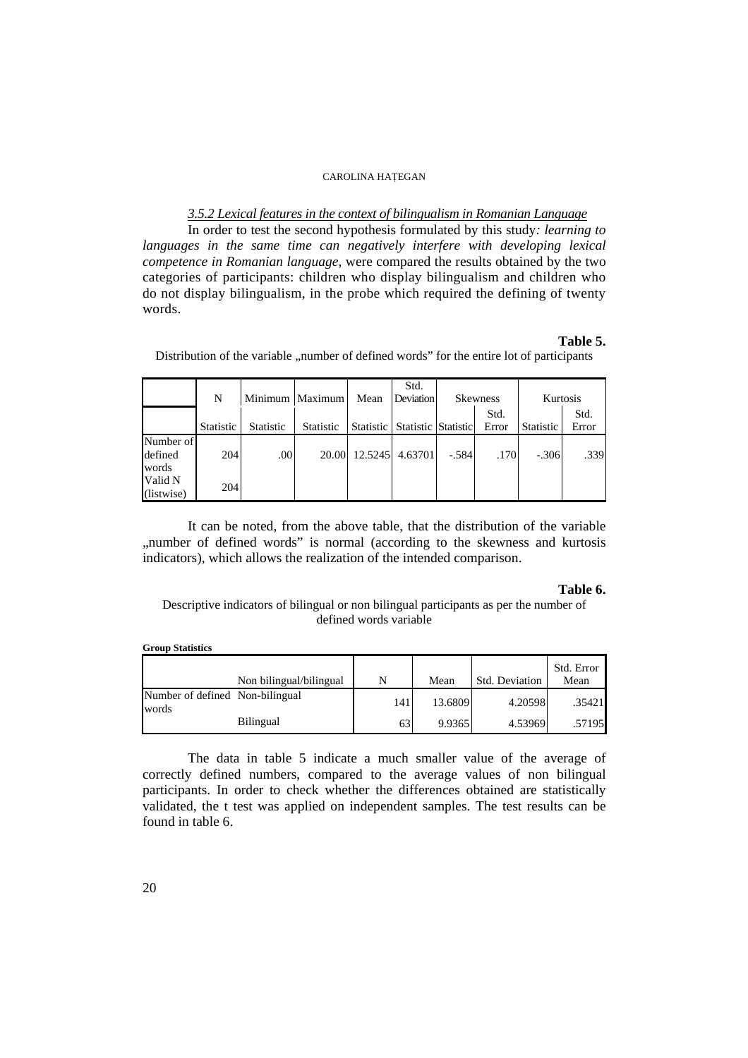## *3.5.2 Lexical features in the context of bilingualism in Romanian Language*

In order to test the second hypothesis formulated by this study*: learning to languages in the same time can negatively interfere with developing lexical competence in Romanian language,* were compared the results obtained by the two categories of participants: children who display bilingualism and children who do not display bilingualism, in the probe which required the defining of twenty words.

## **Table 5.**

|                               | N         |                  | Minimum   Maximum | Mean    | Std.<br>Deviation                 |         | Skewness      | Kurtosis  |               |
|-------------------------------|-----------|------------------|-------------------|---------|-----------------------------------|---------|---------------|-----------|---------------|
|                               | Statistic | <b>Statistic</b> | <b>Statistic</b>  |         | Statistic   Statistic   Statistic |         | Std.<br>Error | Statistic | Std.<br>Error |
| Number of<br>defined<br>words | 204       | .00              | 20.00             | 12.5245 | 4.63701                           | $-.584$ | .170          | $-.306$   | .339          |
| Valid N<br>(listwise)         | 204       |                  |                   |         |                                   |         |               |           |               |

Distribution of the variable ... number of defined words" for the entire lot of participants

It can be noted, from the above table, that the distribution of the variable "number of defined words" is normal (according to the skewness and kurtosis indicators), which allows the realization of the intended comparison.

## **Table 6.**

Descriptive indicators of bilingual or non bilingual participants as per the number of defined words variable

|                                          | Non bilingual/bilingual |     | Mean    | Std. Deviation | Std. Error<br>Mean |
|------------------------------------------|-------------------------|-----|---------|----------------|--------------------|
| Number of defined Non-bilingual<br>words |                         | 141 | 13.6809 | 4.20598        | .35421             |
|                                          | <b>Bilingual</b>        | 63  | 9.9365  | 4.53969        | .57195             |

The data in table 5 indicate a much smaller value of the average of correctly defined numbers, compared to the average values of non bilingual participants. In order to check whether the differences obtained are statistically validated, the t test was applied on independent samples. The test results can be found in table 6.

**Group Statistics**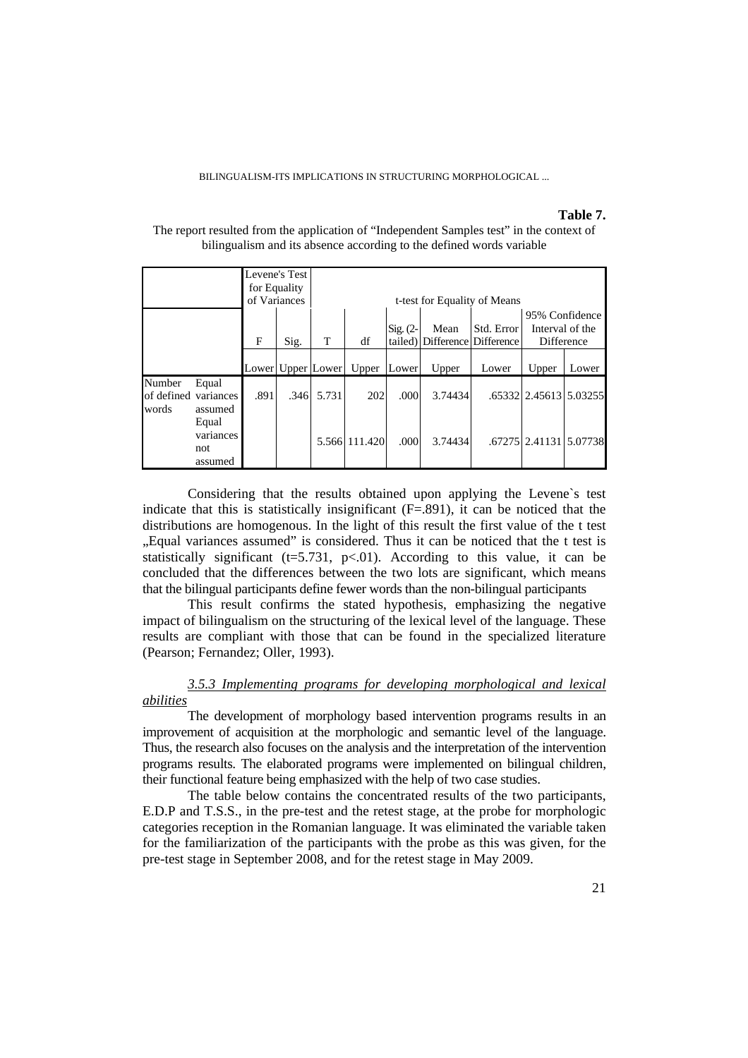#### **Table 7.**

|                               |                                      |      | Levene's Test<br>for Equality<br>of Variances |                       | t-test for Equality of Means |                       |         |                                     |                                                 |       |
|-------------------------------|--------------------------------------|------|-----------------------------------------------|-----------------------|------------------------------|-----------------------|---------|-------------------------------------|-------------------------------------------------|-------|
|                               |                                      | F    | Sig.                                          | T                     | df                           | $Sig. (2-$<br>tailed) | Mean    | Std. Error<br>Difference Difference | 95% Confidence<br>Interval of the<br>Difference |       |
|                               |                                      |      |                                               | Lower   Upper   Lower | Upper                        | Lower                 | Upper   | Lower                               | Upper                                           | Lower |
| Number<br>of defined<br>words | Equal<br>variances<br>assumed        | .891 | .346                                          | 5.731                 | 202                          | .000                  | 3.74434 |                                     | .65332 2.45613 5.03255                          |       |
|                               | Equal<br>variances<br>not<br>assumed |      |                                               |                       | 5.566 111.420                | .000                  | 3.74434 |                                     | .67275   2.41131   5.07738                      |       |

The report resulted from the application of "Independent Samples test" in the context of bilingualism and its absence according to the defined words variable

Considering that the results obtained upon applying the Levene`s test indicate that this is statistically insignificant (F=.891), it can be noticed that the distributions are homogenous. In the light of this result the first value of the t test "Equal variances assumed" is considered. Thus it can be noticed that the t test is statistically significant ( $t=5.731$ ,  $p<.01$ ). According to this value, it can be concluded that the differences between the two lots are significant, which means that the bilingual participants define fewer words than the non-bilingual participants

This result confirms the stated hypothesis, emphasizing the negative impact of bilingualism on the structuring of the lexical level of the language. These results are compliant with those that can be found in the specialized literature (Pearson; Fernandez; Oller, 1993).

## *3.5.3 Implementing programs for developing morphological and lexical abilities*

The development of morphology based intervention programs results in an improvement of acquisition at the morphologic and semantic level of the language. Thus, the research also focuses on the analysis and the interpretation of the intervention programs results. The elaborated programs were implemented on bilingual children, their functional feature being emphasized with the help of two case studies.

The table below contains the concentrated results of the two participants, E.D.P and T.S.S., in the pre-test and the retest stage, at the probe for morphologic categories reception in the Romanian language. It was eliminated the variable taken for the familiarization of the participants with the probe as this was given, for the pre-test stage in September 2008, and for the retest stage in May 2009.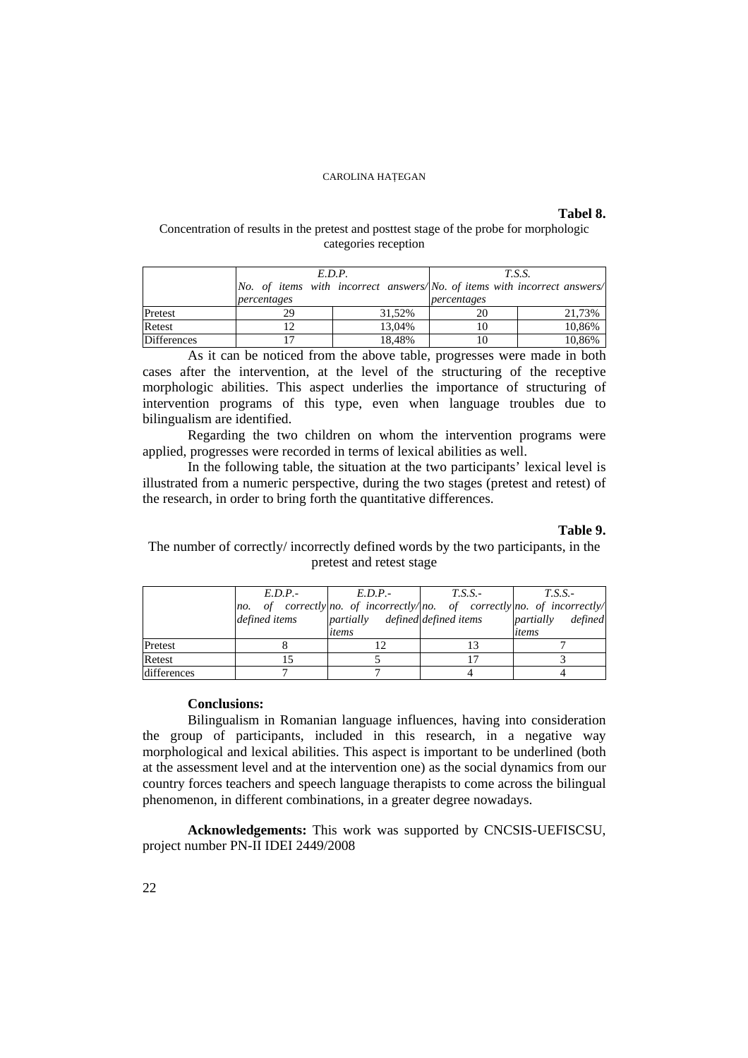# **Tabel 8.**

## Concentration of results in the pretest and posttest stage of the probe for morphologic categories reception

|                    | E.D.P.                                                                   |        | <i>T.S.S.</i> |        |  |
|--------------------|--------------------------------------------------------------------------|--------|---------------|--------|--|
|                    | No. of items with incorrect answers/No. of items with incorrect answers/ |        |               |        |  |
|                    | percentages                                                              |        | percentages   |        |  |
| Pretest            | 29                                                                       | 31.52% |               | 21,73% |  |
| Retest             |                                                                          | 13,04% | 10            | 10,86% |  |
| <b>Differences</b> |                                                                          | 18,48% |               | 10,86% |  |

As it can be noticed from the above table, progresses were made in both cases after the intervention, at the level of the structuring of the receptive morphologic abilities. This aspect underlies the importance of structuring of intervention programs of this type, even when language troubles due to bilingualism are identified.

Regarding the two children on whom the intervention programs were applied, progresses were recorded in terms of lexical abilities as well.

In the following table, the situation at the two participants' lexical level is illustrated from a numeric perspective, during the two stages (pretest and retest) of the research, in order to bring forth the quantitative differences.

## **Table 9.**

# The number of correctly/ incorrectly defined words by the two participants, in the pretest and retest stage

|             | $E.D.P. -$    | E.D.P.                          | $T.S.S.$ - | T.S.S.                                                               |  |
|-------------|---------------|---------------------------------|------------|----------------------------------------------------------------------|--|
|             | no.           |                                 |            | of correctly no. of incorrectly/no. of correctly no. of incorrectly/ |  |
|             | defined items | partially defined defined items |            | <i>partially defined</i>                                             |  |
|             |               | items                           |            | items                                                                |  |
| Pretest     |               |                                 |            |                                                                      |  |
| Retest      |               |                                 |            |                                                                      |  |
| differences |               |                                 |            |                                                                      |  |

## **Conclusions:**

Bilingualism in Romanian language influences, having into consideration the group of participants, included in this research, in a negative way morphological and lexical abilities. This aspect is important to be underlined (both at the assessment level and at the intervention one) as the social dynamics from our country forces teachers and speech language therapists to come across the bilingual phenomenon, in different combinations, in a greater degree nowadays.

**Acknowledgements:** This work was supported by CNCSIS-UEFISCSU, project number PN-II IDEI 2449/2008